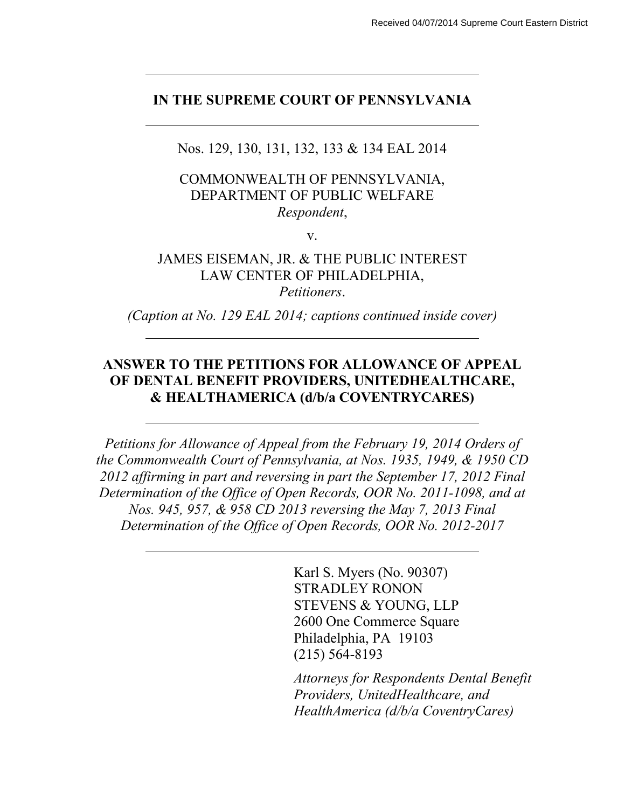### **IN THE SUPREME COURT OF PENNSYLVANIA**

Nos. 129, 130, 131, 132, 133 & 134 EAL 2014

### COMMONWEALTH OF PENNSYLVANIA, DEPARTMENT OF PUBLIC WELFARE *Respondent*,

v.

# JAMES EISEMAN, JR. & THE PUBLIC INTEREST LAW CENTER OF PHILADELPHIA,

*Petitioners*.

*(Caption at No. 129 EAL 2014; captions continued inside cover)*

## **ANSWER TO THE PETITIONS FOR ALLOWANCE OF APPEAL OF DENTAL BENEFIT PROVIDERS, UNITEDHEALTHCARE, & HEALTHAMERICA (d/b/a COVENTRYCARES)**

*Petitions for Allowance of Appeal from the February 19, 2014 Orders of the Commonwealth Court of Pennsylvania, at Nos. 1935, 1949, & 1950 CD 2012 affirming in part and reversing in part the September 17, 2012 Final Determination of the Office of Open Records, OOR No. 2011-1098, and at Nos. 945, 957, & 958 CD 2013 reversing the May 7, 2013 Final Determination of the Office of Open Records, OOR No. 2012-2017*

> Karl S. Myers (No. 90307) STRADLEY RONON STEVENS & YOUNG, LLP 2600 One Commerce Square Philadelphia, PA 19103 (215) 564-8193

*Attorneys for Respondents Dental Benefit Providers, UnitedHealthcare, and HealthAmerica (d/b/a CoventryCares)*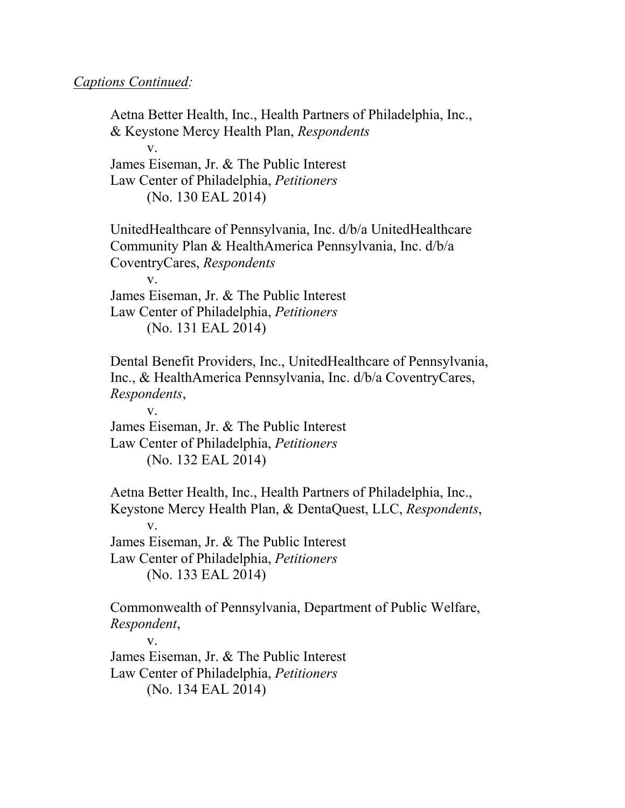#### *Captions Continued:*

Aetna Better Health, Inc., Health Partners of Philadelphia, Inc., & Keystone Mercy Health Plan, *Respondents* v. James Eiseman, Jr. & The Public Interest Law Center of Philadelphia, *Petitioners* (No. 130 EAL 2014) UnitedHealthcare of Pennsylvania, Inc. d/b/a UnitedHealthcare Community Plan & HealthAmerica Pennsylvania, Inc. d/b/a CoventryCares, *Respondents* v. James Eiseman, Jr. & The Public Interest Law Center of Philadelphia, *Petitioners* (No. 131 EAL 2014) Dental Benefit Providers, Inc., UnitedHealthcare of Pennsylvania, Inc., & HealthAmerica Pennsylvania, Inc. d/b/a CoventryCares, *Respondents*, v. James Eiseman, Jr. & The Public Interest Law Center of Philadelphia, *Petitioners* (No. 132 EAL 2014) Aetna Better Health, Inc., Health Partners of Philadelphia, Inc., Keystone Mercy Health Plan, & DentaQuest, LLC, *Respondents*, v. James Eiseman, Jr. & The Public Interest Law Center of Philadelphia, *Petitioners* (No. 133 EAL 2014) Commonwealth of Pennsylvania, Department of Public Welfare, *Respondent*, v. James Eiseman, Jr. & The Public Interest Law Center of Philadelphia, *Petitioners*

(No. 134 EAL 2014)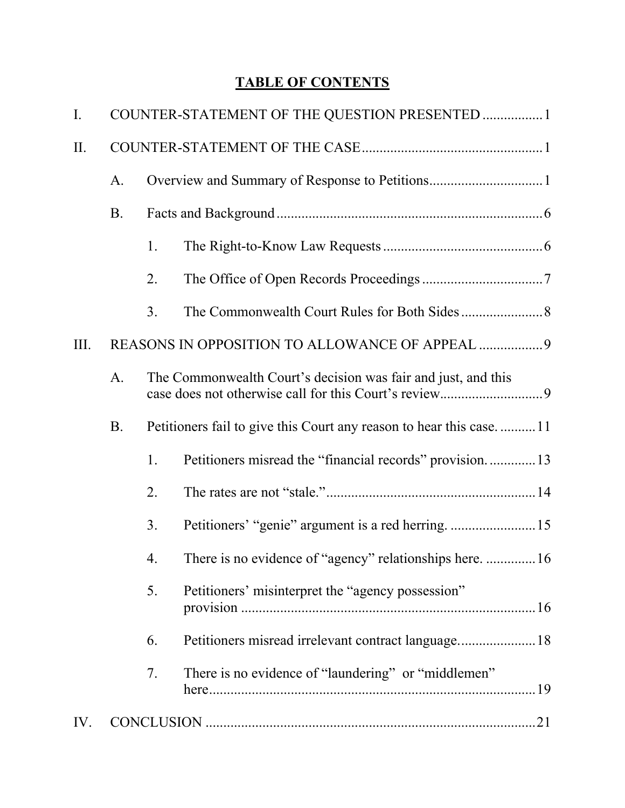# **TABLE OF CONTENTS**

| $\mathbf{I}$ . |                                                 | COUNTER-STATEMENT OF THE QUESTION PRESENTED  1                     |                                                          |  |  |
|----------------|-------------------------------------------------|--------------------------------------------------------------------|----------------------------------------------------------|--|--|
| II.            |                                                 |                                                                    |                                                          |  |  |
|                | A <sub>1</sub>                                  |                                                                    |                                                          |  |  |
|                | <b>B.</b>                                       |                                                                    |                                                          |  |  |
|                |                                                 | 1.                                                                 |                                                          |  |  |
|                |                                                 | 2.                                                                 |                                                          |  |  |
|                |                                                 | 3 <sub>1</sub>                                                     |                                                          |  |  |
| III.           | REASONS IN OPPOSITION TO ALLOWANCE OF APPEAL  9 |                                                                    |                                                          |  |  |
|                | $A_{\cdot}$                                     | The Commonwealth Court's decision was fair and just, and this      |                                                          |  |  |
|                | <b>B.</b>                                       | Petitioners fail to give this Court any reason to hear this case11 |                                                          |  |  |
|                |                                                 | 1.                                                                 | Petitioners misread the "financial records" provision13  |  |  |
|                |                                                 | 2.                                                                 |                                                          |  |  |
|                |                                                 | 3 <sub>1</sub>                                                     |                                                          |  |  |
|                |                                                 | 4.                                                                 | There is no evidence of "agency" relationships here.  16 |  |  |
|                |                                                 | 5.                                                                 | Petitioners' misinterpret the "agency possession"        |  |  |
|                |                                                 | 6.                                                                 |                                                          |  |  |
|                |                                                 | 7.                                                                 | There is no evidence of "laundering" or "middlemen"      |  |  |
| IV.            |                                                 |                                                                    |                                                          |  |  |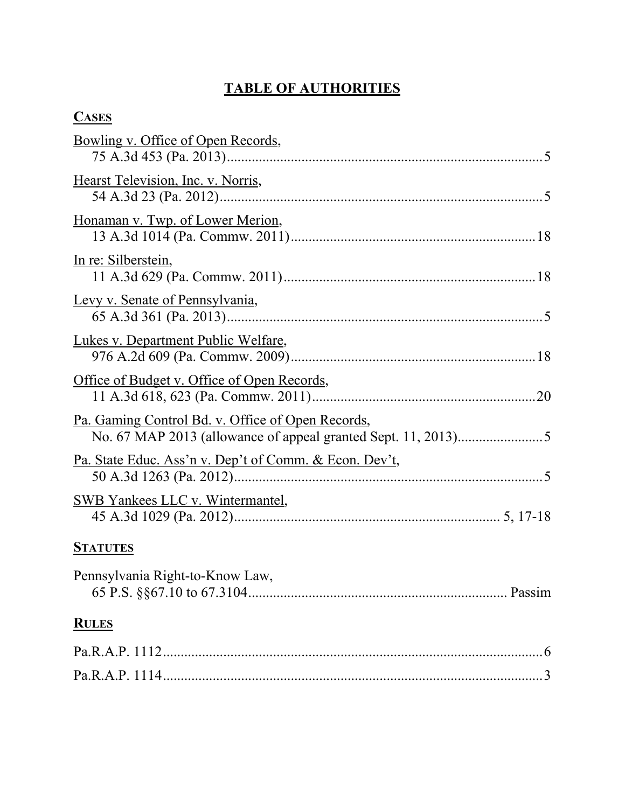# **TABLE OF AUTHORITIES**

| <b>CASES</b>                                                      |  |
|-------------------------------------------------------------------|--|
| <u>Bowling v. Office of Open Records,</u>                         |  |
| Hearst Television, Inc. v. Norris,                                |  |
| Honaman v. Twp. of Lower Merion,                                  |  |
| In re: Silberstein,                                               |  |
| Levy v. Senate of Pennsylvania,                                   |  |
| Lukes v. Department Public Welfare,                               |  |
| Office of Budget v. Office of Open Records,                       |  |
| Pa. Gaming Control Bd. v. Office of Open Records,                 |  |
| <u>Pa. State Educ. Ass'n v. Dep't of Comm. &amp; Econ. Dev't,</u> |  |
| <b>SWB Yankees LLC v. Wintermantel,</b>                           |  |
|                                                                   |  |

# **STATUTES**

| Pennsylvania Right-to-Know Law, |  |
|---------------------------------|--|
| <b>RULES</b>                    |  |
|                                 |  |
|                                 |  |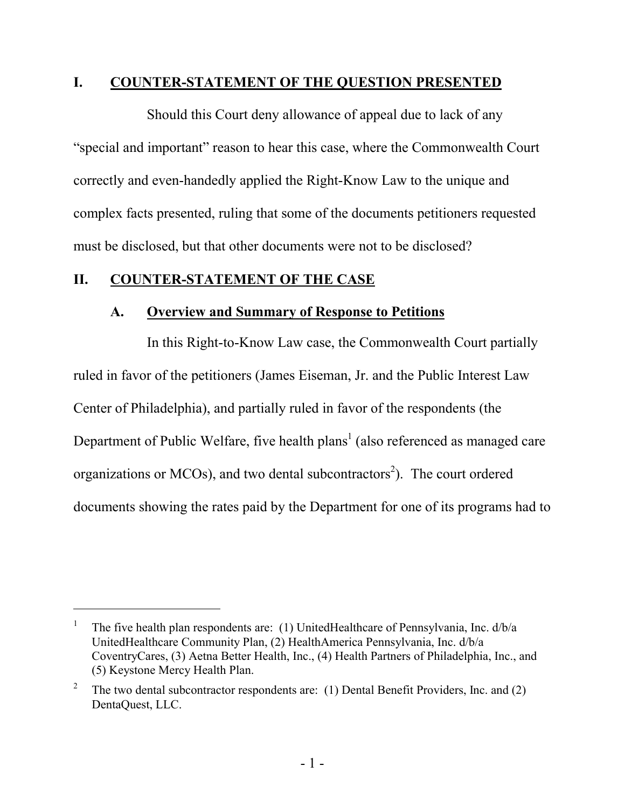#### <span id="page-4-0"></span>**I. COUNTER-STATEMENT OF THE QUESTION PRESENTED**

Should this Court deny allowance of appeal due to lack of any "special and important" reason to hear this case, where the Commonwealth Court correctly and even-handedly applied the Right-Know Law to the unique and complex facts presented, ruling that some of the documents petitioners requested must be disclosed, but that other documents were not to be disclosed?

## **II. COUNTER-STATEMENT OF THE CASE**

 $\overline{a}$ 

#### <span id="page-4-2"></span><span id="page-4-1"></span>**A. Overview and Summary of Response to Petitions**

In this Right-to-Know Law case, the Commonwealth Court partially ruled in favor of the petitioners (James Eiseman, Jr. and the Public Interest Law Center of Philadelphia), and partially ruled in favor of the respondents (the Department of Public Welfare, five health plans<sup>1</sup> (also referenced as managed care organizations or MCOs), and two dental subcontractors<sup>2</sup>). The court ordered documents showing the rates paid by the Department for one of its programs had to

<sup>1</sup> The five health plan respondents are: (1) UnitedHealthcare of Pennsylvania, Inc. d/b/a UnitedHealthcare Community Plan, (2) HealthAmerica Pennsylvania, Inc. d/b/a CoventryCares, (3) Aetna Better Health, Inc., (4) Health Partners of Philadelphia, Inc., and (5) Keystone Mercy Health Plan.

<sup>2</sup> The two dental subcontractor respondents are: (1) Dental Benefit Providers, Inc. and (2) DentaQuest, LLC.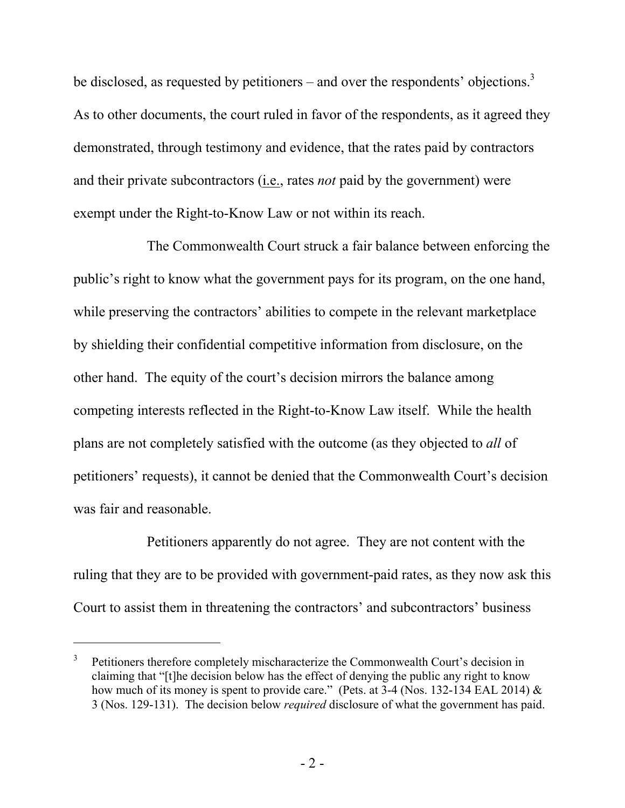be disclosed, as requested by petitioners – and over the respondents' objections.<sup>3</sup> As to other documents, the court ruled in favor of the respondents, as it agreed they demonstrated, through testimony and evidence, that the rates paid by contractors and their private subcontractors (i.e., rates *not* paid by the government) were exempt under the Right-to-Know Law or not within its reach.

The Commonwealth Court struck a fair balance between enforcing the public's right to know what the government pays for its program, on the one hand, while preserving the contractors' abilities to compete in the relevant marketplace by shielding their confidential competitive information from disclosure, on the other hand. The equity of the court's decision mirrors the balance among competing interests reflected in the Right-to-Know Law itself. While the health plans are not completely satisfied with the outcome (as they objected to *all* of petitioners' requests), it cannot be denied that the Commonwealth Court's decision was fair and reasonable.

Petitioners apparently do not agree. They are not content with the ruling that they are to be provided with government-paid rates, as they now ask this Court to assist them in threatening the contractors' and subcontractors' business

<sup>3</sup> Petitioners therefore completely mischaracterize the Commonwealth Court's decision in claiming that "[t]he decision below has the effect of denying the public any right to know how much of its money is spent to provide care." (Pets. at 3-4 (Nos. 132-134 EAL 2014) & 3 (Nos. 129-131). The decision below *required* disclosure of what the government has paid.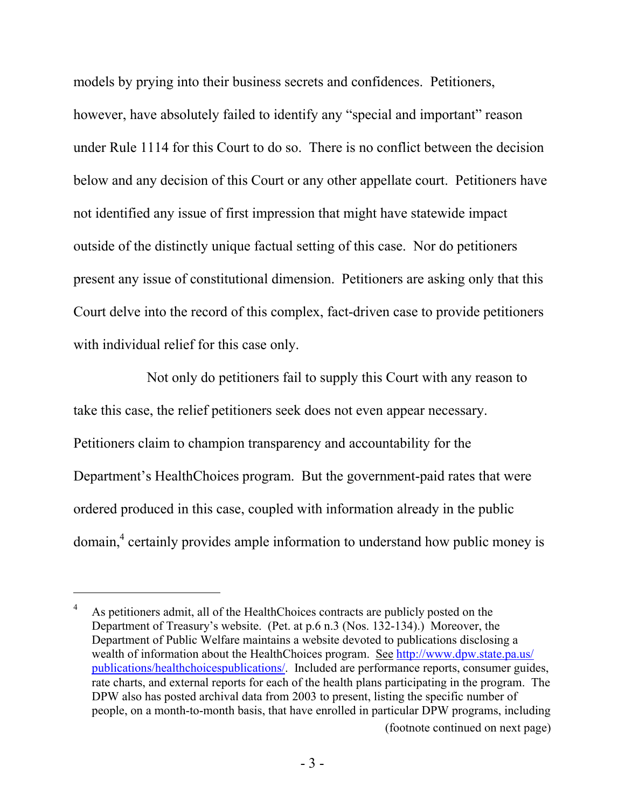models by prying into their business secrets and confidences. Petitioners, however, have absolutely failed to identify any "special and important" reason under Rule 1114 for this Court to do so. There is no conflict between the decision below and any decision of this Court or any other appellate court. Petitioners have not identified any issue of first impression that might have statewide impact outside of the distinctly unique factual setting of this case. Nor do petitioners present any issue of constitutional dimension. Petitioners are asking only that this Court delve into the record of this complex, fact-driven case to provide petitioners with individual relief for this case only.

Not only do petitioners fail to supply this Court with any reason to take this case, the relief petitioners seek does not even appear necessary. Petitioners claim to champion transparency and accountability for the Department's HealthChoices program. But the government-paid rates that were ordered produced in this case, coupled with information already in the public domain,<sup>4</sup> certainly provides ample information to understand how public money is

<sup>4</sup> As petitioners admit, all of the HealthChoices contracts are publicly posted on the Department of Treasury's website. (Pet. at p.6 n.3 (Nos. 132-134).) Moreover, the Department of Public Welfare maintains a website devoted to publications disclosing a wealth of information about the HealthChoices program. See http://www.dpw.state.pa.us/ publications/healthchoicespublications/. Included are performance reports, consumer guides, rate charts, and external reports for each of the health plans participating in the program. The DPW also has posted archival data from 2003 to present, listing the specific number of people, on a month-to-month basis, that have enrolled in particular DPW programs, including (footnote continued on next page)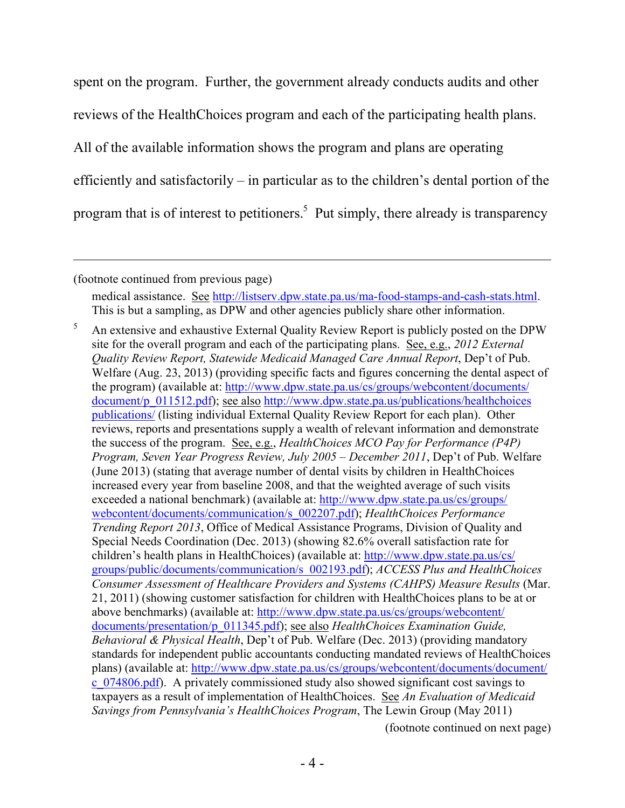spent on the program. Further, the government already conducts audits and other reviews of the HealthChoices program and each of the participating health plans. All of the available information shows the program and plans are operating efficiently and satisfactorily – in particular as to the children's dental portion of the program that is of interest to petitioners.<sup>5</sup> Put simply, there already is transparency

(footnote continued from previous page)

 $\overline{a}$ 

medical assistance. See http://listserv.dpw.state.pa.us/ma-food-stamps-and-cash-stats.html. This is but a sampling, as DPW and other agencies publicly share other information.

<sup>5</sup> An extensive and exhaustive External Quality Review Report is publicly posted on the DPW site for the overall program and each of the participating plans. See, e.g., *2012 External Quality Review Report, Statewide Medicaid Managed Care Annual Report*, Dep't of Pub. Welfare (Aug. 23, 2013) (providing specific facts and figures concerning the dental aspect of the program) (available at: http://www.dpw.state.pa.us/cs/groups/webcontent/documents/ document/p\_011512.pdf); see also http://www.dpw.state.pa.us/publications/healthchoices publications/ (listing individual External Quality Review Report for each plan). Other reviews, reports and presentations supply a wealth of relevant information and demonstrate the success of the program. See, e.g., *HealthChoices MCO Pay for Performance (P4P) Program, Seven Year Progress Review, July 2005 – December 2011*, Dep't of Pub. Welfare (June 2013) (stating that average number of dental visits by children in HealthChoices increased every year from baseline 2008, and that the weighted average of such visits exceeded a national benchmark) (available at: http://www.dpw.state.pa.us/cs/groups/ webcontent/documents/communication/s\_002207.pdf); *HealthChoices Performance Trending Report 2013*, Office of Medical Assistance Programs, Division of Quality and Special Needs Coordination (Dec. 2013) (showing 82.6% overall satisfaction rate for children's health plans in HealthChoices) (available at: http://www.dpw.state.pa.us/cs/ groups/public/documents/communication/s\_002193.pdf); *ACCESS Plus and HealthChoices Consumer Assessment of Healthcare Providers and Systems (CAHPS) Measure Results* (Mar. 21, 2011) (showing customer satisfaction for children with HealthChoices plans to be at or above benchmarks) (available at: http://www.dpw.state.pa.us/cs/groups/webcontent/ documents/presentation/p\_011345.pdf); see also *HealthChoices Examination Guide, Behavioral & Physical Health*, Dep't of Pub. Welfare (Dec. 2013) (providing mandatory standards for independent public accountants conducting mandated reviews of HealthChoices plans) (available at: http://www.dpw.state.pa.us/cs/groups/webcontent/documents/document/ c\_074806.pdf). A privately commissioned study also showed significant cost savings to taxpayers as a result of implementation of HealthChoices. See *An Evaluation of Medicaid Savings from Pennsylvania's HealthChoices Program*, The Lewin Group (May 2011) (footnote continued on next page)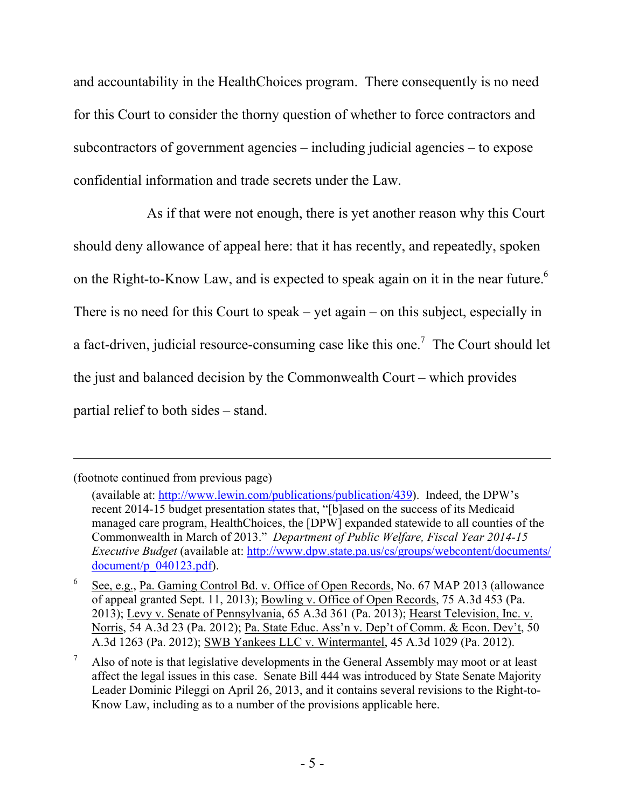and accountability in the HealthChoices program. There consequently is no need for this Court to consider the thorny question of whether to force contractors and subcontractors of government agencies – including judicial agencies – to expose confidential information and trade secrets under the Law.

As if that were not enough, there is yet another reason why this Court should deny allowance of appeal here: that it has recently, and repeatedly, spoken on the Right-to-Know Law, and is expected to speak again on it in the near future.<sup>6</sup> There is no need for this Court to speak – yet again – on this subject, especially in a fact-driven, judicial resource-consuming case like this one.<sup>7</sup> The Court should let the just and balanced decision by the Commonwealth Court – which provides partial relief to both sides – stand.

<sup>(</sup>footnote continued from previous page)

<sup>(</sup>available at: http://www.lewin.com/publications/publication/439). Indeed, the DPW's recent 2014-15 budget presentation states that, "[b]ased on the success of its Medicaid managed care program, HealthChoices, the [DPW] expanded statewide to all counties of the Commonwealth in March of 2013." *Department of Public Welfare, Fiscal Year 2014-15 Executive Budget* (available at: http://www.dpw.state.pa.us/cs/groups/webcontent/documents/ document/p\_040123.pdf).

<sup>6</sup> See, e.g., Pa. Gaming Control Bd. v. Office of Open Records, No. 67 MAP 2013 (allowance of appeal granted Sept. 11, 2013); Bowling v. Office of Open Records, 75 A.3d 453 (Pa. 2013); Levy v. Senate of Pennsylvania, 65 A.3d 361 (Pa. 2013); Hearst Television, Inc. v. Norris, 54 A.3d 23 (Pa. 2012); Pa. State Educ. Ass'n v. Dep't of Comm. & Econ. Dev't, 50 A.3d 1263 (Pa. 2012); SWB Yankees LLC v. Wintermantel, 45 A.3d 1029 (Pa. 2012).

Also of note is that legislative developments in the General Assembly may moot or at least affect the legal issues in this case. Senate Bill 444 was introduced by State Senate Majority Leader Dominic Pileggi on April 26, 2013, and it contains several revisions to the Right-to-Know Law, including as to a number of the provisions applicable here.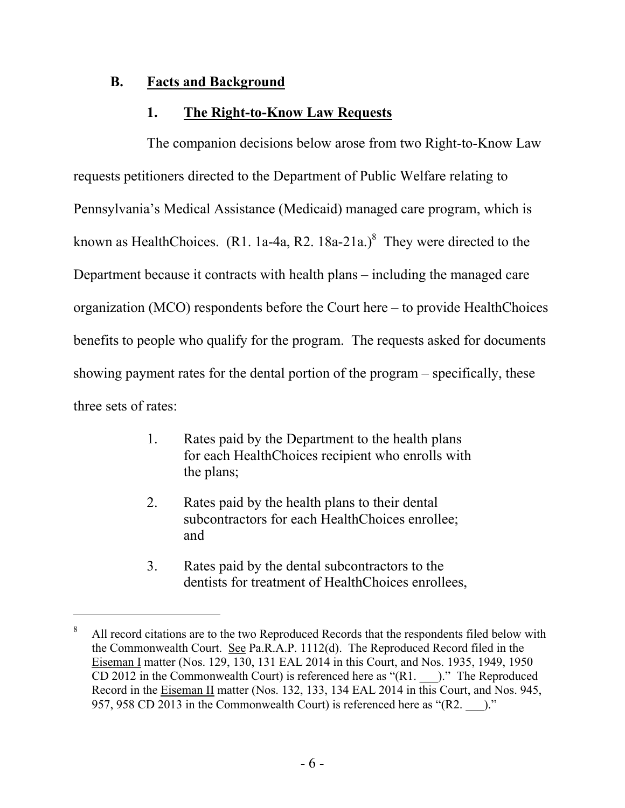## **B. Facts and Background**

 $\overline{a}$ 

## <span id="page-9-1"></span><span id="page-9-0"></span>**1. The Right-to-Know Law Requests**

The companion decisions below arose from two Right-to-Know Law requests petitioners directed to the Department of Public Welfare relating to Pennsylvania's Medical Assistance (Medicaid) managed care program, which is known as HealthChoices. (R1. 1a-4a, R2. 18a-21a.)<sup>8</sup> They were directed to the Department because it contracts with health plans – including the managed care organization (MCO) respondents before the Court here – to provide HealthChoices benefits to people who qualify for the program. The requests asked for documents showing payment rates for the dental portion of the program – specifically, these three sets of rates:

- 1. Rates paid by the Department to the health plans for each HealthChoices recipient who enrolls with the plans;
- 2. Rates paid by the health plans to their dental subcontractors for each HealthChoices enrollee; and
- 3. Rates paid by the dental subcontractors to the dentists for treatment of HealthChoices enrollees,

<sup>&</sup>lt;sup>8</sup> All record citations are to the two Reproduced Records that the respondents filed below with the Commonwealth Court. See Pa.R.A.P. 1112(d). The Reproduced Record filed in the Eiseman I matter (Nos. 129, 130, 131 EAL 2014 in this Court, and Nos. 1935, 1949, 1950 CD 2012 in the Commonwealth Court) is referenced here as " $(R1.$ .  $)$ ." The Reproduced Record in the Eiseman II matter (Nos. 132, 133, 134 EAL 2014 in this Court, and Nos. 945, 957, 958 CD 2013 in the Commonwealth Court) is referenced here as "(R2.  $\qquad$ )."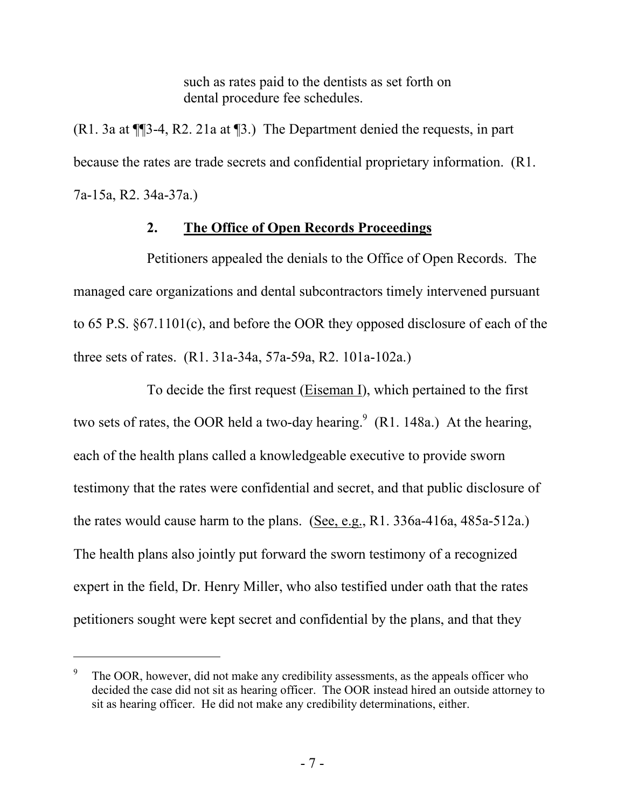such as rates paid to the dentists as set forth on dental procedure fee schedules.

(R1. 3a at ¶¶3-4, R2. 21a at ¶3.) The Department denied the requests, in part because the rates are trade secrets and confidential proprietary information. (R1. 7a-15a, R2. 34a-37a.)

## <span id="page-10-0"></span>**2. The Office of Open Records Proceedings**

Petitioners appealed the denials to the Office of Open Records. The managed care organizations and dental subcontractors timely intervened pursuant to 65 P.S. §67.1101(c), and before the OOR they opposed disclosure of each of the three sets of rates. (R1. 31a-34a, 57a-59a, R2. 101a-102a.)

To decide the first request (Eiseman I), which pertained to the first two sets of rates, the OOR held a two-day hearing.<sup>9</sup> (R1. 148a.) At the hearing, each of the health plans called a knowledgeable executive to provide sworn testimony that the rates were confidential and secret, and that public disclosure of the rates would cause harm to the plans. (See, e.g., R1. 336a-416a, 485a-512a.) The health plans also jointly put forward the sworn testimony of a recognized expert in the field, Dr. Henry Miller, who also testified under oath that the rates petitioners sought were kept secret and confidential by the plans, and that they

<sup>9</sup> The OOR, however, did not make any credibility assessments, as the appeals officer who decided the case did not sit as hearing officer. The OOR instead hired an outside attorney to sit as hearing officer. He did not make any credibility determinations, either.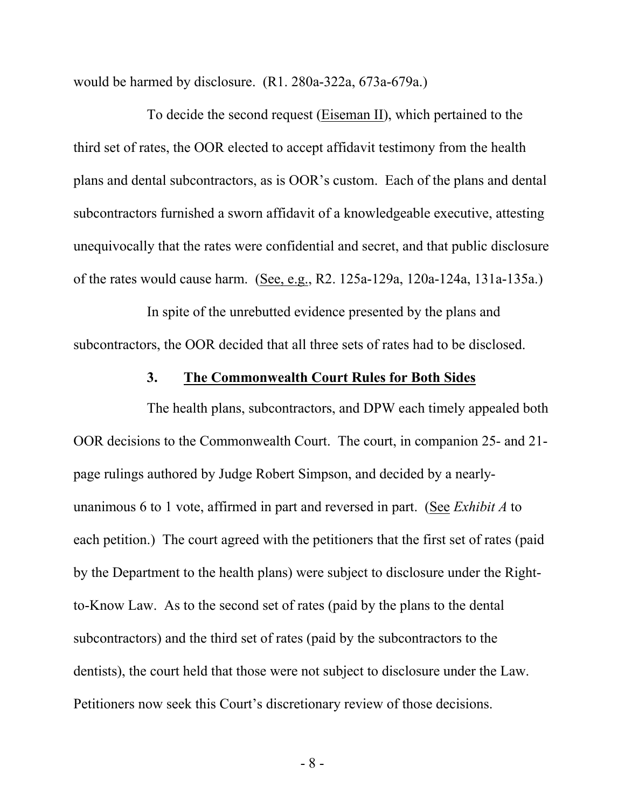would be harmed by disclosure. (R1. 280a-322a, 673a-679a.)

To decide the second request (Eiseman II), which pertained to the third set of rates, the OOR elected to accept affidavit testimony from the health plans and dental subcontractors, as is OOR's custom. Each of the plans and dental subcontractors furnished a sworn affidavit of a knowledgeable executive, attesting unequivocally that the rates were confidential and secret, and that public disclosure of the rates would cause harm. (See, e.g., R2. 125a-129a, 120a-124a, 131a-135a.)

In spite of the unrebutted evidence presented by the plans and subcontractors, the OOR decided that all three sets of rates had to be disclosed.

#### <span id="page-11-0"></span>**3. The Commonwealth Court Rules for Both Sides**

The health plans, subcontractors, and DPW each timely appealed both OOR decisions to the Commonwealth Court. The court, in companion 25- and 21 page rulings authored by Judge Robert Simpson, and decided by a nearlyunanimous 6 to 1 vote, affirmed in part and reversed in part. (See *Exhibit A* to each petition.) The court agreed with the petitioners that the first set of rates (paid by the Department to the health plans) were subject to disclosure under the Rightto-Know Law. As to the second set of rates (paid by the plans to the dental subcontractors) and the third set of rates (paid by the subcontractors to the dentists), the court held that those were not subject to disclosure under the Law. Petitioners now seek this Court's discretionary review of those decisions.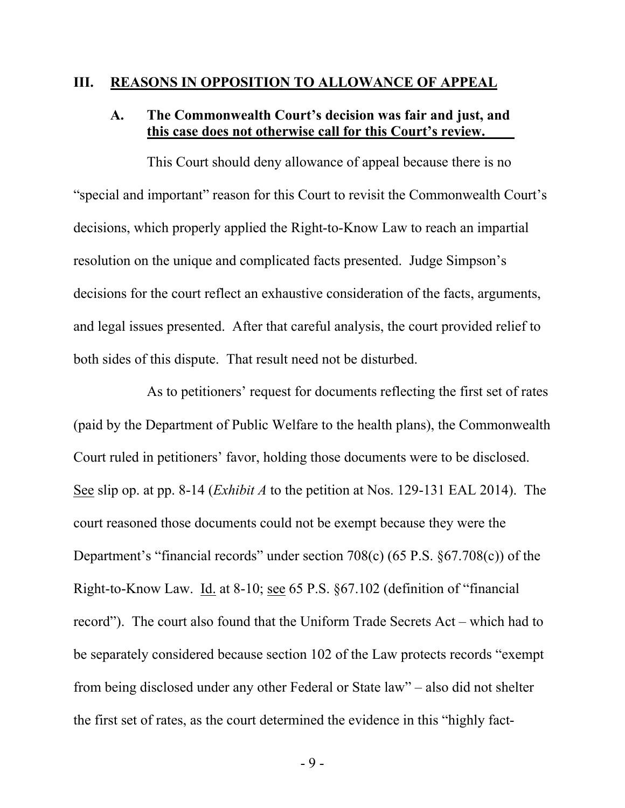#### **III. REASONS IN OPPOSITION TO ALLOWANCE OF APPEAL**

## <span id="page-12-1"></span><span id="page-12-0"></span>**A. The Commonwealth Court's decision was fair and just, and this case does not otherwise call for this Court's review.**

This Court should deny allowance of appeal because there is no "special and important" reason for this Court to revisit the Commonwealth Court's decisions, which properly applied the Right-to-Know Law to reach an impartial resolution on the unique and complicated facts presented. Judge Simpson's decisions for the court reflect an exhaustive consideration of the facts, arguments, and legal issues presented. After that careful analysis, the court provided relief to both sides of this dispute. That result need not be disturbed.

As to petitioners' request for documents reflecting the first set of rates (paid by the Department of Public Welfare to the health plans), the Commonwealth Court ruled in petitioners' favor, holding those documents were to be disclosed. See slip op. at pp. 8-14 (*Exhibit A* to the petition at Nos. 129-131 EAL 2014). The court reasoned those documents could not be exempt because they were the Department's "financial records" under section 708(c) (65 P.S. §67.708(c)) of the Right-to-Know Law. Id. at 8-10; see 65 P.S. §67.102 (definition of "financial record"). The court also found that the Uniform Trade Secrets Act – which had to be separately considered because section 102 of the Law protects records "exempt from being disclosed under any other Federal or State law" – also did not shelter the first set of rates, as the court determined the evidence in this "highly fact-

- 9 -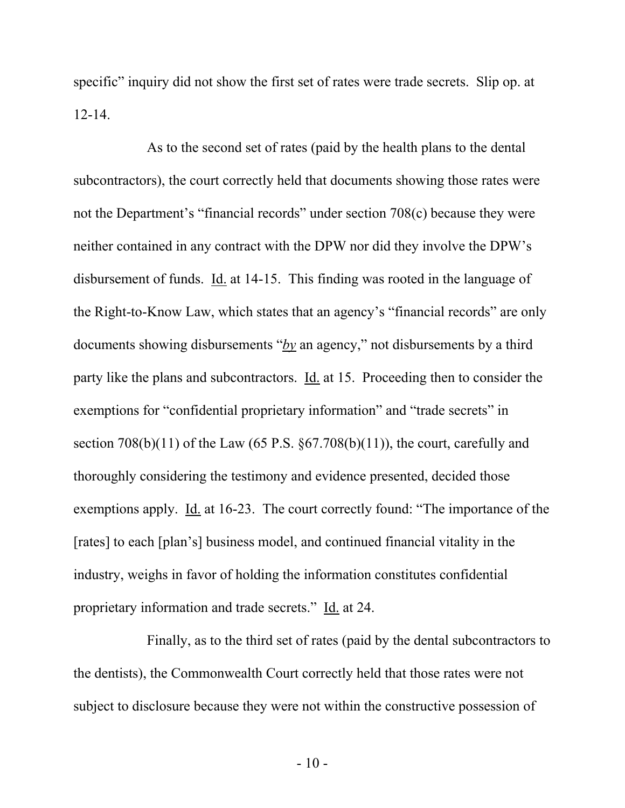specific" inquiry did not show the first set of rates were trade secrets. Slip op. at 12-14.

As to the second set of rates (paid by the health plans to the dental subcontractors), the court correctly held that documents showing those rates were not the Department's "financial records" under section 708(c) because they were neither contained in any contract with the DPW nor did they involve the DPW's disbursement of funds. Id. at 14-15. This finding was rooted in the language of the Right-to-Know Law, which states that an agency's "financial records" are only documents showing disbursements "*by* an agency," not disbursements by a third party like the plans and subcontractors. Id. at 15. Proceeding then to consider the exemptions for "confidential proprietary information" and "trade secrets" in section  $708(b)(11)$  of the Law  $(65 P.S. \, §67.708(b)(11))$ , the court, carefully and thoroughly considering the testimony and evidence presented, decided those exemptions apply. Id. at 16-23. The court correctly found: "The importance of the [rates] to each [plan's] business model, and continued financial vitality in the industry, weighs in favor of holding the information constitutes confidential proprietary information and trade secrets." Id. at 24.

Finally, as to the third set of rates (paid by the dental subcontractors to the dentists), the Commonwealth Court correctly held that those rates were not subject to disclosure because they were not within the constructive possession of

- 10 -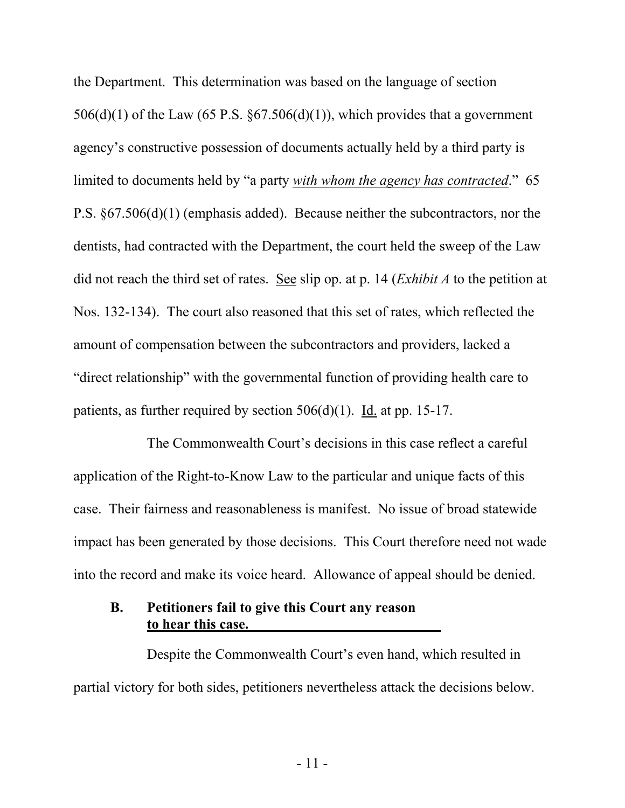the Department. This determination was based on the language of section  $506(d)(1)$  of the Law (65 P.S.  $\S 67.506(d)(1)$ ), which provides that a government agency's constructive possession of documents actually held by a third party is limited to documents held by "a party *with whom the agency has contracted*." 65 P.S. §67.506(d)(1) (emphasis added). Because neither the subcontractors, nor the dentists, had contracted with the Department, the court held the sweep of the Law did not reach the third set of rates. See slip op. at p. 14 (*Exhibit A* to the petition at Nos. 132-134). The court also reasoned that this set of rates, which reflected the amount of compensation between the subcontractors and providers, lacked a "direct relationship" with the governmental function of providing health care to patients, as further required by section 506(d)(1). Id. at pp. 15-17.

The Commonwealth Court's decisions in this case reflect a careful application of the Right-to-Know Law to the particular and unique facts of this case. Their fairness and reasonableness is manifest. No issue of broad statewide impact has been generated by those decisions. This Court therefore need not wade into the record and make its voice heard. Allowance of appeal should be denied.

# <span id="page-14-0"></span>**B. Petitioners fail to give this Court any reason to hear this case.**

Despite the Commonwealth Court's even hand, which resulted in partial victory for both sides, petitioners nevertheless attack the decisions below.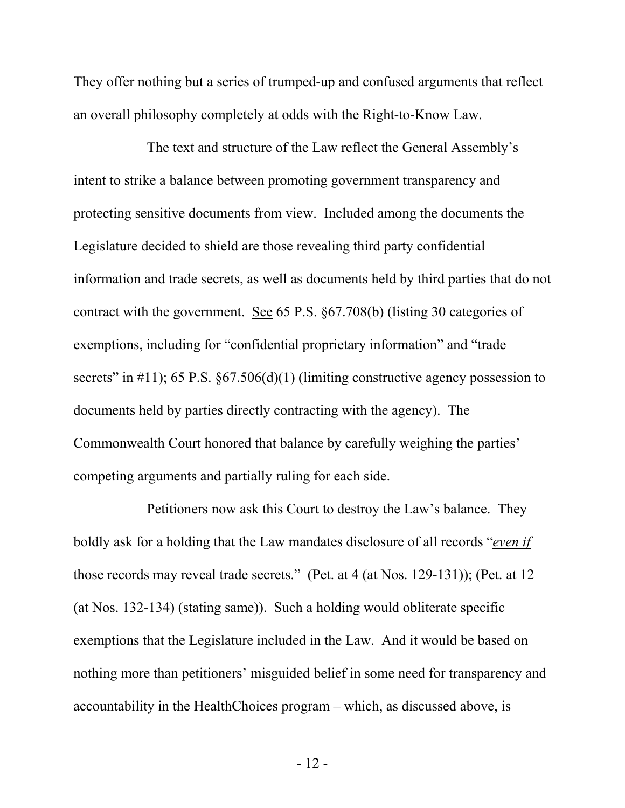They offer nothing but a series of trumped-up and confused arguments that reflect an overall philosophy completely at odds with the Right-to-Know Law.

The text and structure of the Law reflect the General Assembly's intent to strike a balance between promoting government transparency and protecting sensitive documents from view. Included among the documents the Legislature decided to shield are those revealing third party confidential information and trade secrets, as well as documents held by third parties that do not contract with the government. See 65 P.S. §67.708(b) (listing 30 categories of exemptions, including for "confidential proprietary information" and "trade secrets" in  $\#11$ ); 65 P.S. §67.506(d)(1) (limiting constructive agency possession to documents held by parties directly contracting with the agency). The Commonwealth Court honored that balance by carefully weighing the parties' competing arguments and partially ruling for each side.

Petitioners now ask this Court to destroy the Law's balance. They boldly ask for a holding that the Law mandates disclosure of all records "*even if* those records may reveal trade secrets." (Pet. at 4 (at Nos. 129-131)); (Pet. at 12 (at Nos. 132-134) (stating same)). Such a holding would obliterate specific exemptions that the Legislature included in the Law. And it would be based on nothing more than petitioners' misguided belief in some need for transparency and accountability in the HealthChoices program – which, as discussed above, is

- 12 -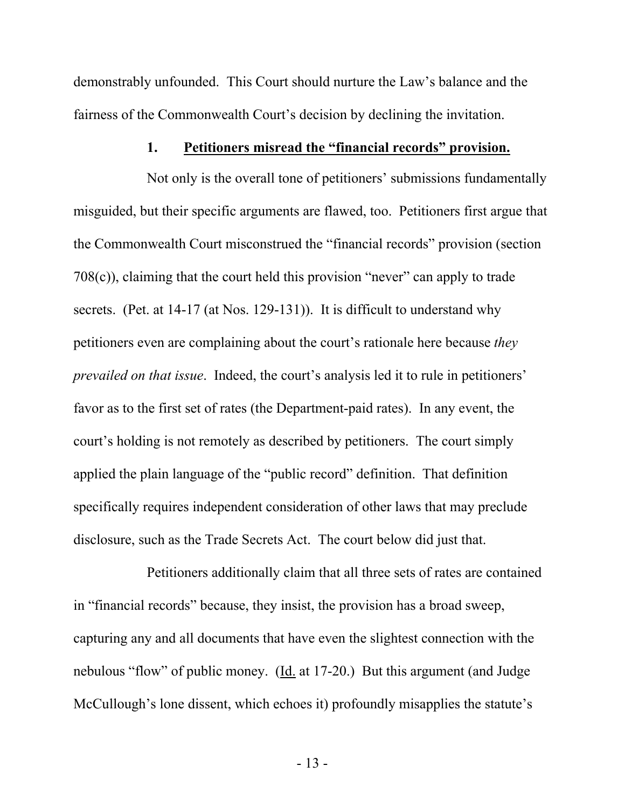demonstrably unfounded. This Court should nurture the Law's balance and the fairness of the Commonwealth Court's decision by declining the invitation.

## <span id="page-16-0"></span>**1. Petitioners misread the "financial records" provision.**

Not only is the overall tone of petitioners' submissions fundamentally misguided, but their specific arguments are flawed, too. Petitioners first argue that the Commonwealth Court misconstrued the "financial records" provision (section 708(c)), claiming that the court held this provision "never" can apply to trade secrets. (Pet. at 14-17 (at Nos. 129-131)). It is difficult to understand why petitioners even are complaining about the court's rationale here because *they prevailed on that issue*. Indeed, the court's analysis led it to rule in petitioners' favor as to the first set of rates (the Department-paid rates). In any event, the court's holding is not remotely as described by petitioners. The court simply applied the plain language of the "public record" definition. That definition specifically requires independent consideration of other laws that may preclude disclosure, such as the Trade Secrets Act. The court below did just that.

Petitioners additionally claim that all three sets of rates are contained in "financial records" because, they insist, the provision has a broad sweep, capturing any and all documents that have even the slightest connection with the nebulous "flow" of public money. (Id. at 17-20.) But this argument (and Judge McCullough's lone dissent, which echoes it) profoundly misapplies the statute's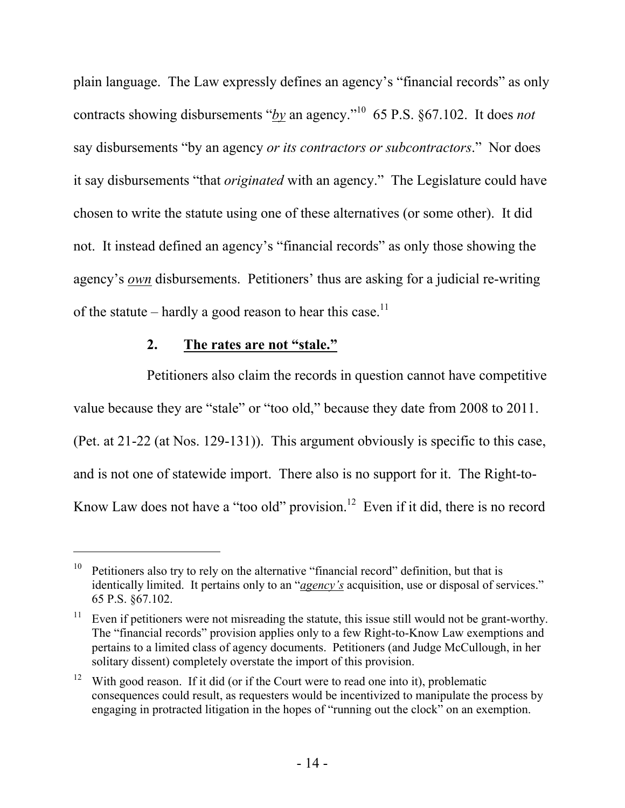plain language. The Law expressly defines an agency's "financial records" as only contracts showing disbursements "*by* an agency."<sup>10</sup> 65 P.S. §67.102. It does *not* say disbursements "by an agency *or its contractors or subcontractors*." Nor does it say disbursements "that *originated* with an agency." The Legislature could have chosen to write the statute using one of these alternatives (or some other). It did not. It instead defined an agency's "financial records" as only those showing the agency's *own* disbursements. Petitioners' thus are asking for a judicial re-writing of the statute – hardly a good reason to hear this case.<sup>11</sup>

## <span id="page-17-0"></span>**2. The rates are not "stale."**

 $\overline{a}$ 

Petitioners also claim the records in question cannot have competitive value because they are "stale" or "too old," because they date from 2008 to 2011. (Pet. at 21-22 (at Nos. 129-131)). This argument obviously is specific to this case, and is not one of statewide import. There also is no support for it. The Right-to-Know Law does not have a "too old" provision.<sup>12</sup> Even if it did, there is no record

<sup>&</sup>lt;sup>10</sup> Petitioners also try to rely on the alternative "financial record" definition, but that is identically limited. It pertains only to an "*agency's* acquisition, use or disposal of services." 65 P.S. §67.102.

 $11$  Even if petitioners were not misreading the statute, this issue still would not be grant-worthy. The "financial records" provision applies only to a few Right-to-Know Law exemptions and pertains to a limited class of agency documents. Petitioners (and Judge McCullough, in her solitary dissent) completely overstate the import of this provision.

<sup>&</sup>lt;sup>12</sup> With good reason. If it did (or if the Court were to read one into it), problematic consequences could result, as requesters would be incentivized to manipulate the process by engaging in protracted litigation in the hopes of "running out the clock" on an exemption.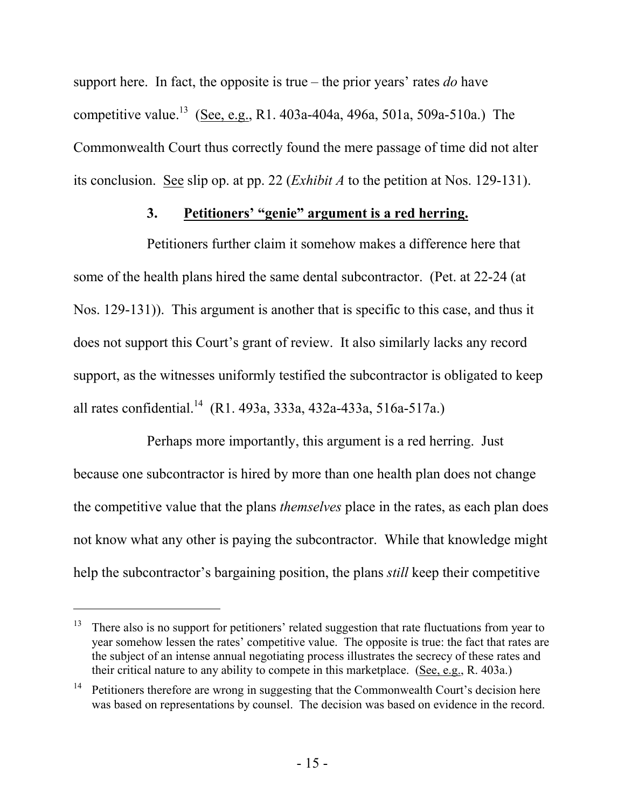support here. In fact, the opposite is true – the prior years' rates *do* have competitive value.<sup>13</sup> (See, e.g., R1. 403a-404a, 496a, 501a, 509a-510a.) The Commonwealth Court thus correctly found the mere passage of time did not alter its conclusion. See slip op. at pp. 22 (*Exhibit A* to the petition at Nos. 129-131).

# <span id="page-18-0"></span>**3. Petitioners' "genie" argument is a red herring.**

Petitioners further claim it somehow makes a difference here that some of the health plans hired the same dental subcontractor. (Pet. at 22-24 (at Nos. 129-131)). This argument is another that is specific to this case, and thus it does not support this Court's grant of review. It also similarly lacks any record support, as the witnesses uniformly testified the subcontractor is obligated to keep all rates confidential.<sup>14</sup> (R1. 493a, 333a, 432a-433a, 516a-517a.)

Perhaps more importantly, this argument is a red herring. Just because one subcontractor is hired by more than one health plan does not change the competitive value that the plans *themselves* place in the rates, as each plan does not know what any other is paying the subcontractor. While that knowledge might help the subcontractor's bargaining position, the plans *still* keep their competitive

 $13$  There also is no support for petitioners' related suggestion that rate fluctuations from year to year somehow lessen the rates' competitive value. The opposite is true: the fact that rates are the subject of an intense annual negotiating process illustrates the secrecy of these rates and their critical nature to any ability to compete in this marketplace. (See, e.g., R. 403a.)

<sup>&</sup>lt;sup>14</sup> Petitioners therefore are wrong in suggesting that the Commonwealth Court's decision here was based on representations by counsel. The decision was based on evidence in the record.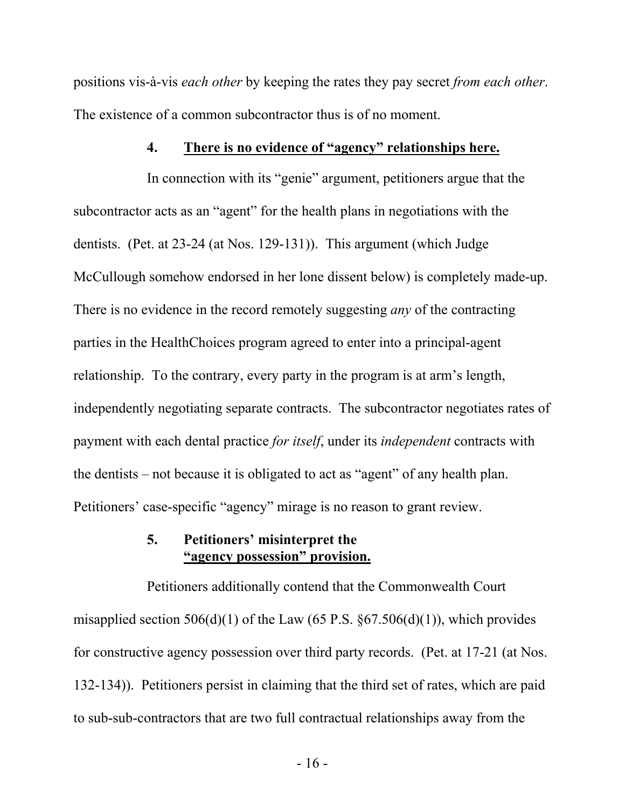positions vis-à-vis *each other* by keeping the rates they pay secret *from each other*. The existence of a common subcontractor thus is of no moment.

## <span id="page-19-0"></span>**4. There is no evidence of "agency" relationships here.**

In connection with its "genie" argument, petitioners argue that the subcontractor acts as an "agent" for the health plans in negotiations with the dentists. (Pet. at 23-24 (at Nos. 129-131)). This argument (which Judge McCullough somehow endorsed in her lone dissent below) is completely made-up. There is no evidence in the record remotely suggesting *any* of the contracting parties in the HealthChoices program agreed to enter into a principal-agent relationship. To the contrary, every party in the program is at arm's length, independently negotiating separate contracts. The subcontractor negotiates rates of payment with each dental practice *for itself*, under its *independent* contracts with the dentists – not because it is obligated to act as "agent" of any health plan. Petitioners' case-specific "agency" mirage is no reason to grant review.

## <span id="page-19-1"></span>**5. Petitioners' misinterpret the "agency possession" provision.**

Petitioners additionally contend that the Commonwealth Court misapplied section  $506(d)(1)$  of the Law (65 P.S. §67.506(d)(1)), which provides for constructive agency possession over third party records. (Pet. at 17-21 (at Nos. 132-134)). Petitioners persist in claiming that the third set of rates, which are paid to sub-sub-contractors that are two full contractual relationships away from the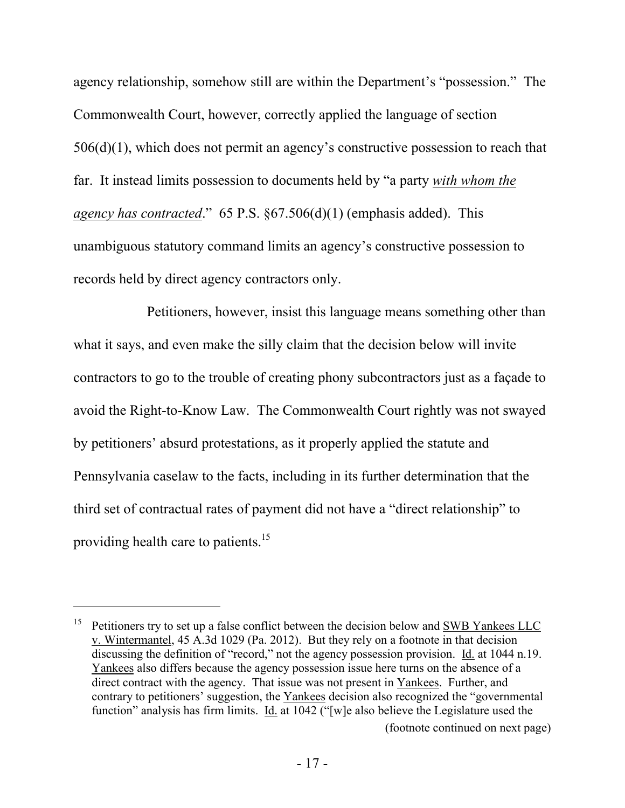agency relationship, somehow still are within the Department's "possession." The Commonwealth Court, however, correctly applied the language of section 506(d)(1), which does not permit an agency's constructive possession to reach that far. It instead limits possession to documents held by "a party *with whom the agency has contracted*." 65 P.S. §67.506(d)(1) (emphasis added). This unambiguous statutory command limits an agency's constructive possession to records held by direct agency contractors only.

Petitioners, however, insist this language means something other than what it says, and even make the silly claim that the decision below will invite contractors to go to the trouble of creating phony subcontractors just as a façade to avoid the Right-to-Know Law. The Commonwealth Court rightly was not swayed by petitioners' absurd protestations, as it properly applied the statute and Pennsylvania caselaw to the facts, including in its further determination that the third set of contractual rates of payment did not have a "direct relationship" to providing health care to patients.<sup>15</sup>

<sup>&</sup>lt;sup>15</sup> Petitioners try to set up a false conflict between the decision below and  $\underline{\text{SWB} \text{ Yankees LLC}}$ v. Wintermantel, 45 A.3d 1029 (Pa. 2012). But they rely on a footnote in that decision discussing the definition of "record," not the agency possession provision. Id. at 1044 n.19. Yankees also differs because the agency possession issue here turns on the absence of a direct contract with the agency. That issue was not present in Yankees. Further, and contrary to petitioners' suggestion, the Yankees decision also recognized the "governmental function" analysis has firm limits. Id. at 1042 ("[w]e also believe the Legislature used the (footnote continued on next page)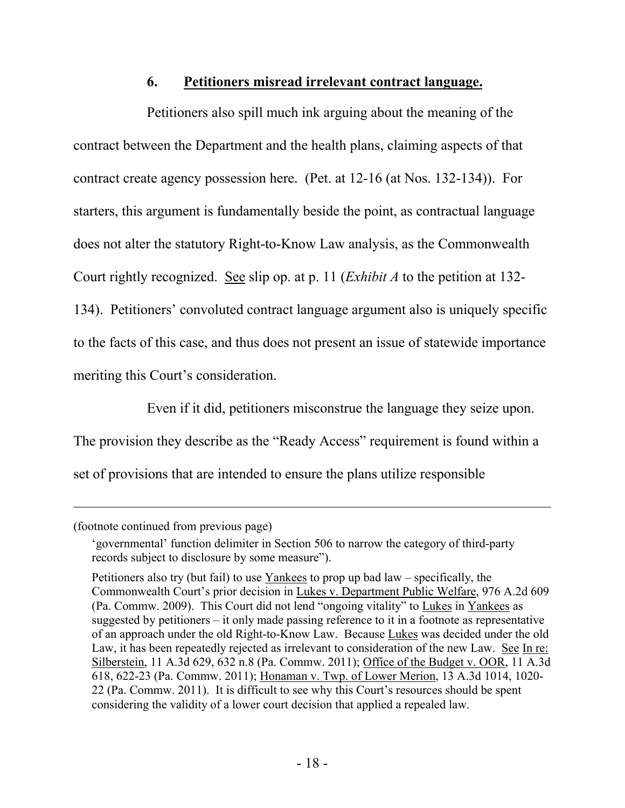### <span id="page-21-0"></span>**6. Petitioners misread irrelevant contract language.**

Petitioners also spill much ink arguing about the meaning of the contract between the Department and the health plans, claiming aspects of that contract create agency possession here. (Pet. at 12-16 (at Nos. 132-134)). For starters, this argument is fundamentally beside the point, as contractual language does not alter the statutory Right-to-Know Law analysis, as the Commonwealth Court rightly recognized. See slip op. at p. 11 (*Exhibit A* to the petition at 132- 134). Petitioners' convoluted contract language argument also is uniquely specific to the facts of this case, and thus does not present an issue of statewide importance meriting this Court's consideration.

Even if it did, petitioners misconstrue the language they seize upon. The provision they describe as the "Ready Access" requirement is found within a set of provisions that are intended to ensure the plans utilize responsible

(footnote continued from previous page)

<sup>&#</sup>x27;governmental' function delimiter in Section 506 to narrow the category of third-party records subject to disclosure by some measure").

Petitioners also try (but fail) to use Yankees to prop up bad law – specifically, the Commonwealth Court's prior decision in Lukes v. Department Public Welfare, 976 A.2d 609 (Pa. Commw. 2009). This Court did not lend "ongoing vitality" to Lukes in Yankees as suggested by petitioners – it only made passing reference to it in a footnote as representative of an approach under the old Right-to-Know Law. Because Lukes was decided under the old Law, it has been repeatedly rejected as irrelevant to consideration of the new Law. See In re: Silberstein, 11 A.3d 629, 632 n.8 (Pa. Commw. 2011); Office of the Budget v. OOR, 11 A.3d 618, 622-23 (Pa. Commw. 2011); Honaman v. Twp. of Lower Merion, 13 A.3d 1014, 1020- 22 (Pa. Commw. 2011). It is difficult to see why this Court's resources should be spent considering the validity of a lower court decision that applied a repealed law.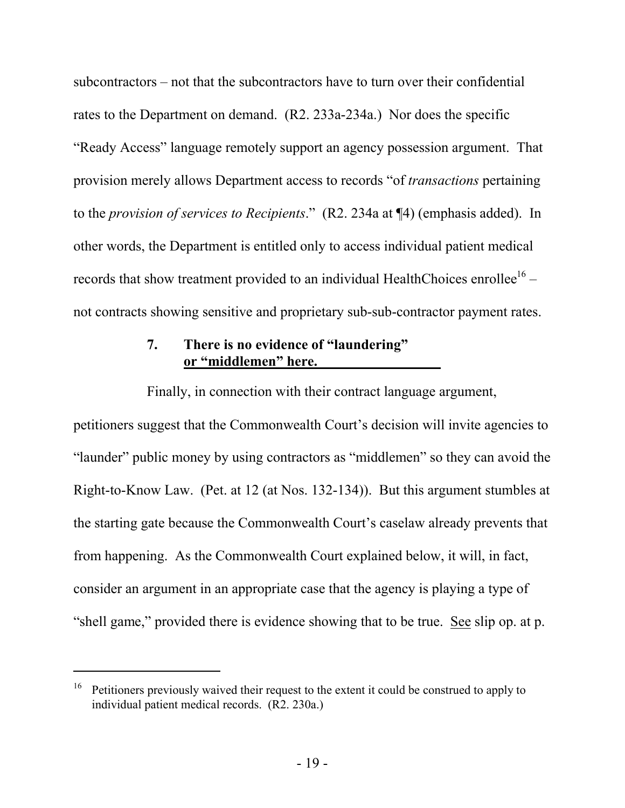subcontractors – not that the subcontractors have to turn over their confidential rates to the Department on demand. (R2. 233a-234a.) Nor does the specific "Ready Access" language remotely support an agency possession argument. That provision merely allows Department access to records "of *transactions* pertaining to the *provision of services to Recipients*." (R2. 234a at ¶4) (emphasis added). In other words, the Department is entitled only to access individual patient medical records that show treatment provided to an individual HealthChoices enrollee<sup>16</sup> – not contracts showing sensitive and proprietary sub-sub-contractor payment rates.

# <span id="page-22-0"></span>**7. There is no evidence of "laundering" or "middlemen" here.**

Finally, in connection with their contract language argument,

petitioners suggest that the Commonwealth Court's decision will invite agencies to "launder" public money by using contractors as "middlemen" so they can avoid the Right-to-Know Law. (Pet. at 12 (at Nos. 132-134)). But this argument stumbles at the starting gate because the Commonwealth Court's caselaw already prevents that from happening. As the Commonwealth Court explained below, it will, in fact, consider an argument in an appropriate case that the agency is playing a type of "shell game," provided there is evidence showing that to be true. See slip op. at p.

<sup>&</sup>lt;sup>16</sup> Petitioners previously waived their request to the extent it could be construed to apply to individual patient medical records. (R2. 230a.)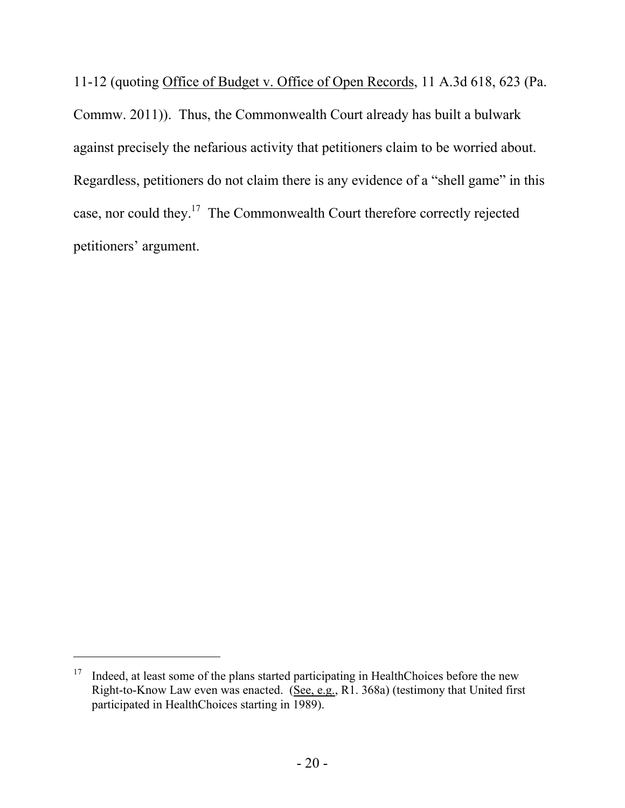11-12 (quoting Office of Budget v. Office of Open Records, 11 A.3d 618, 623 (Pa. Commw. 2011)). Thus, the Commonwealth Court already has built a bulwark against precisely the nefarious activity that petitioners claim to be worried about. Regardless, petitioners do not claim there is any evidence of a "shell game" in this case, nor could they.<sup>17</sup> The Commonwealth Court therefore correctly rejected petitioners' argument.

<sup>&</sup>lt;sup>17</sup> Indeed, at least some of the plans started participating in HealthChoices before the new Right-to-Know Law even was enacted. (See, e.g., R1. 368a) (testimony that United first participated in HealthChoices starting in 1989).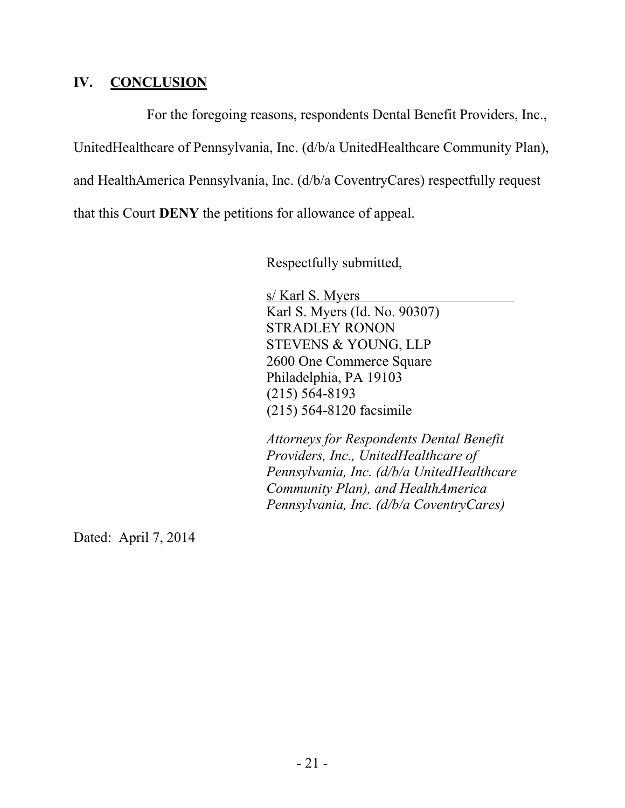## <span id="page-24-0"></span>**IV. CONCLUSION**

For the foregoing reasons, respondents Dental Benefit Providers, Inc., UnitedHealthcare of Pennsylvania, Inc. (d/b/a UnitedHealthcare Community Plan), and HealthAmerica Pennsylvania, Inc. (d/b/a CoventryCares) respectfully request that this Court **DENY** the petitions for allowance of appeal.

Respectfully submitted,

s/ Karl S. Myers Karl S. Myers (Id. No. 90307) STRADLEY RONON STEVENS & YOUNG, LLP 2600 One Commerce Square Philadelphia, PA 19103 (215) 564-8193 (215) 564-8120 facsimile

*Attorneys for Respondents Dental Benefit Providers, Inc., UnitedHealthcare of Pennsylvania, Inc. (d/b/a UnitedHealthcare Community Plan), and HealthAmerica Pennsylvania, Inc. (d/b/a CoventryCares)*

Dated: April 7, 2014